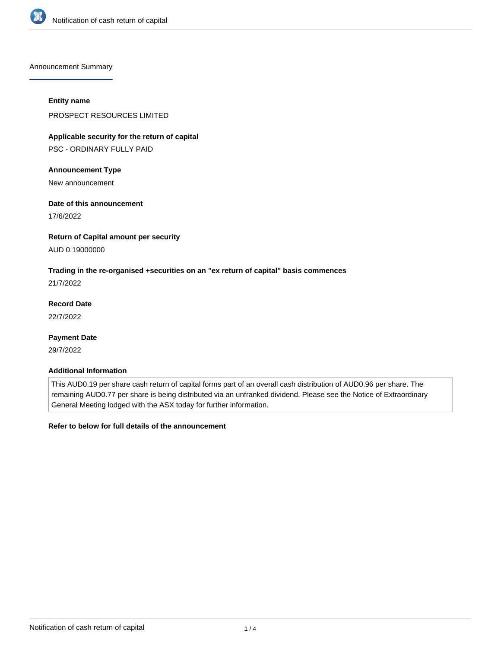

Announcement Summary

### **Entity name**

PROSPECT RESOURCES LIMITED

**Applicable security for the return of capital**

PSC - ORDINARY FULLY PAID

# **Announcement Type**

New announcement

# **Date of this announcement**

17/6/2022

# **Return of Capital amount per security**

AUD 0.19000000

# **Trading in the re-organised +securities on an "ex return of capital" basis commences**

21/7/2022

**Record Date** 22/7/2022

**Payment Date**

29/7/2022

# **Additional Information**

This AUD0.19 per share cash return of capital forms part of an overall cash distribution of AUD0.96 per share. The remaining AUD0.77 per share is being distributed via an unfranked dividend. Please see the Notice of Extraordinary General Meeting lodged with the ASX today for further information.

### **Refer to below for full details of the announcement**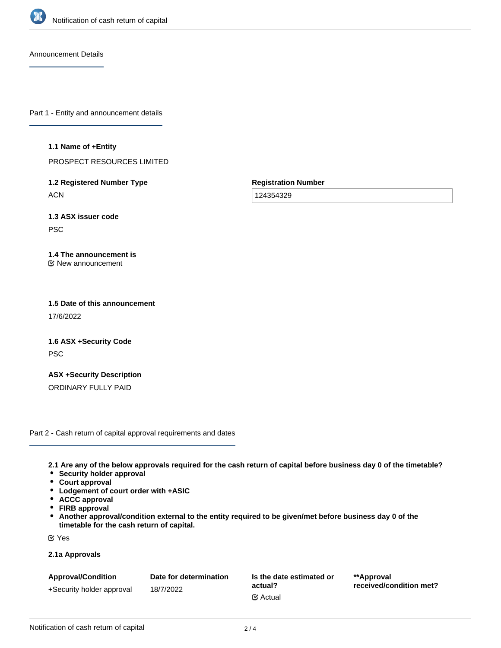

Announcement Details

Part 1 - Entity and announcement details

#### **1.1 Name of +Entity**

PROSPECT RESOURCES LIMITED

**1.2 Registered Number Type ACN** 

**Registration Number**

124354329

**1.3 ASX issuer code** PSC

#### **1.4 The announcement is** New announcement

**1.5 Date of this announcement** 17/6/2022

**1.6 ASX +Security Code** PSC

**ASX +Security Description** ORDINARY FULLY PAID

Part 2 - Cash return of capital approval requirements and dates

**2.1 Are any of the below approvals required for the cash return of capital before business day 0 of the timetable?**

- **Security holder approval**
- **Court approval**
- **Lodgement of court order with +ASIC**
- **ACCC approval**
- **FIRB approval**
- **Another approval/condition external to the entity required to be given/met before business day 0 of the timetable for the cash return of capital.**

Yes

### **2.1a Approvals**

| <b>Approval/Condition</b> | Date for determination | Is the date estimated or<br>actual? | **Approval**<br>received/condition met? |
|---------------------------|------------------------|-------------------------------------|-----------------------------------------|
| +Security holder approval | 18/7/2022              |                                     |                                         |
|                           |                        | <b></b> ∉ Actual                    |                                         |

Notification of cash return of capital 2/4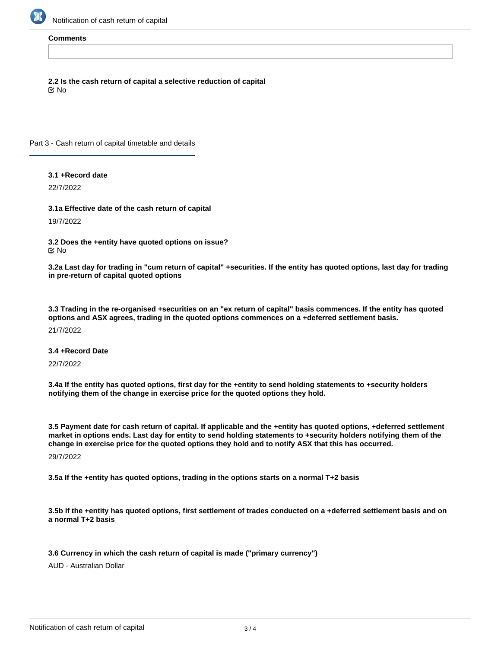

#### **Comments**

**2.2 Is the cash return of capital a selective reduction of capital** No

Part 3 - Cash return of capital timetable and details

**3.1 +Record date**

22/7/2022

**3.1a Effective date of the cash return of capital**

19/7/2022

**3.2 Does the +entity have quoted options on issue?** No

**3.2a Last day for trading in "cum return of capital" +securities. If the entity has quoted options, last day for trading in pre-return of capital quoted options**

**3.3 Trading in the re-organised +securities on an "ex return of capital" basis commences. If the entity has quoted options and ASX agrees, trading in the quoted options commences on a +deferred settlement basis.**

21/7/2022

**3.4 +Record Date**

22/7/2022

**3.4a If the entity has quoted options, first day for the +entity to send holding statements to +security holders notifying them of the change in exercise price for the quoted options they hold.**

**3.5 Payment date for cash return of capital. If applicable and the +entity has quoted options, +deferred settlement market in options ends. Last day for entity to send holding statements to +security holders notifying them of the change in exercise price for the quoted options they hold and to notify ASX that this has occurred.**

29/7/2022

**3.5a If the +entity has quoted options, trading in the options starts on a normal T+2 basis**

**3.5b If the +entity has quoted options, first settlement of trades conducted on a +deferred settlement basis and on a normal T+2 basis**

**3.6 Currency in which the cash return of capital is made ("primary currency")**

AUD - Australian Dollar